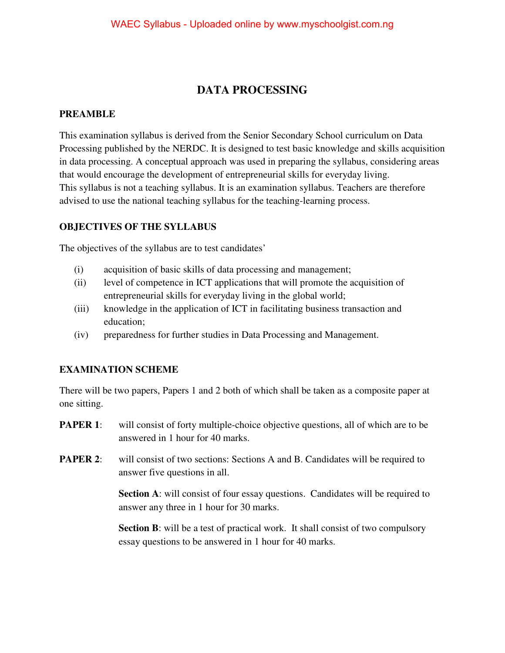### **DATA PROCESSING**

#### **PREAMBLE**

This examination syllabus is derived from the Senior Secondary School curriculum on Data Processing published by the NERDC. It is designed to test basic knowledge and skills acquisition in data processing. A conceptual approach was used in preparing the syllabus, considering areas that would encourage the development of entrepreneurial skills for everyday living. This syllabus is not a teaching syllabus. It is an examination syllabus. Teachers are therefore advised to use the national teaching syllabus for the teaching-learning process.

#### **OBJECTIVES OF THE SYLLABUS**

The objectives of the syllabus are to test candidates'

- (i) acquisition of basic skills of data processing and management;
- (ii) level of competence in ICT applications that will promote the acquisition of entrepreneurial skills for everyday living in the global world;
- (iii) knowledge in the application of ICT in facilitating business transaction and education;
- (iv) preparedness for further studies in Data Processing and Management.

#### **EXAMINATION SCHEME**

There will be two papers, Papers 1 and 2 both of which shall be taken as a composite paper at one sitting.

- **PAPER 1:** will consist of forty multiple-choice objective questions, all of which are to be answered in 1 hour for 40 marks.
- **PAPER 2:** will consist of two sections: Sections A and B. Candidates will be required to answer five questions in all.

**Section A**: will consist of four essay questions. Candidates will be required to answer any three in 1 hour for 30 marks.

**Section B**: will be a test of practical work. It shall consist of two compulsory essay questions to be answered in 1 hour for 40 marks.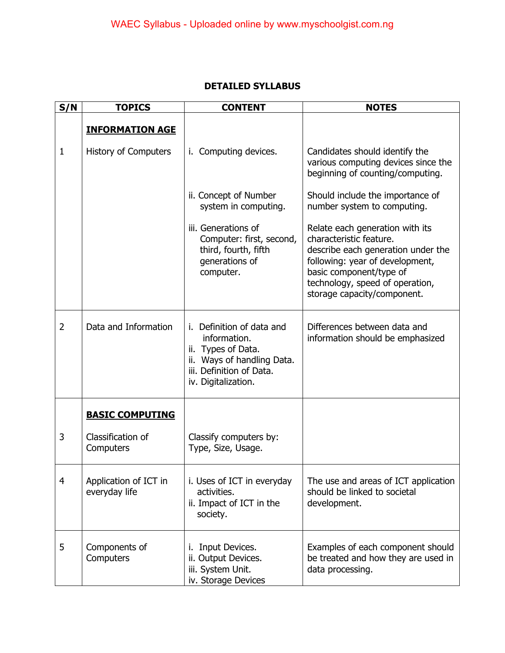| <b>DETAILED SYLLABUS</b> |
|--------------------------|
|                          |

| S/N            | <b>TOPICS</b>                          | <b>CONTENT</b>                                                                                                                                      | <b>NOTES</b>                                                                                                                                                                                                                     |
|----------------|----------------------------------------|-----------------------------------------------------------------------------------------------------------------------------------------------------|----------------------------------------------------------------------------------------------------------------------------------------------------------------------------------------------------------------------------------|
|                | <b>INFORMATION AGE</b>                 |                                                                                                                                                     |                                                                                                                                                                                                                                  |
| $\mathbf{1}$   | <b>History of Computers</b>            | Computing devices.<br>İ.                                                                                                                            | Candidates should identify the<br>various computing devices since the<br>beginning of counting/computing.                                                                                                                        |
|                |                                        | ii. Concept of Number<br>system in computing.                                                                                                       | Should include the importance of<br>number system to computing.                                                                                                                                                                  |
|                |                                        | iii. Generations of<br>Computer: first, second,<br>third, fourth, fifth<br>generations of<br>computer.                                              | Relate each generation with its<br>characteristic feature.<br>describe each generation under the<br>following: year of development,<br>basic component/type of<br>technology, speed of operation,<br>storage capacity/component. |
| $\overline{2}$ | Data and Information                   | Definition of data and<br>i.<br>information.<br>ii. Types of Data.<br>ii. Ways of handling Data.<br>iii. Definition of Data.<br>iv. Digitalization. | Differences between data and<br>information should be emphasized                                                                                                                                                                 |
|                | <b>BASIC COMPUTING</b>                 |                                                                                                                                                     |                                                                                                                                                                                                                                  |
| 3              | Classification of<br>Computers         | Classify computers by:<br>Type, Size, Usage.                                                                                                        |                                                                                                                                                                                                                                  |
| $\overline{4}$ | Application of ICT in<br>everyday life | i. Uses of ICT in everyday<br>activities.<br>ii. Impact of ICT in the<br>society.                                                                   | The use and areas of ICT application<br>should be linked to societal<br>development.                                                                                                                                             |
| 5              | Components of<br>Computers             | Input Devices.<br>Ι.<br>ii. Output Devices.<br>iii. System Unit.<br>iv. Storage Devices                                                             | Examples of each component should<br>be treated and how they are used in<br>data processing.                                                                                                                                     |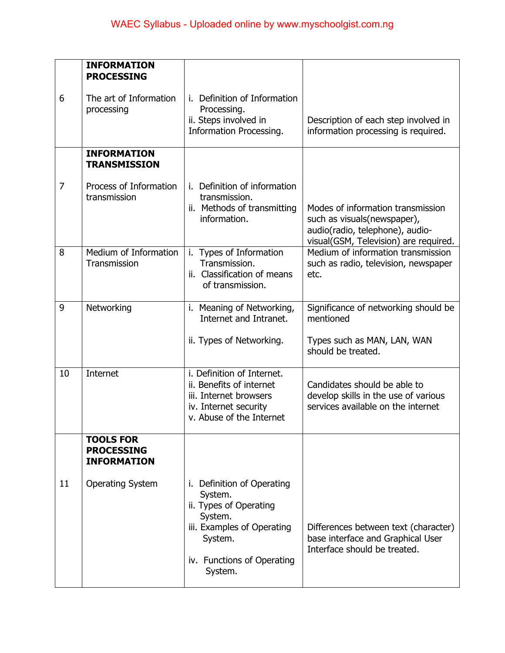|    | <b>INFORMATION</b>                                          |                                                                                                                                                              |                                                                                                                                               |
|----|-------------------------------------------------------------|--------------------------------------------------------------------------------------------------------------------------------------------------------------|-----------------------------------------------------------------------------------------------------------------------------------------------|
| 6  | <b>PROCESSING</b><br>The art of Information<br>processing   | Definition of Information<br>i.<br>Processing.<br>ii. Steps involved in<br>Information Processing.                                                           | Description of each step involved in<br>information processing is required.                                                                   |
|    | <b>INFORMATION</b><br><b>TRANSMISSION</b>                   |                                                                                                                                                              |                                                                                                                                               |
| 7  | Process of Information<br>transmission                      | Definition of information<br>transmission.<br>ii. Methods of transmitting<br>information.                                                                    | Modes of information transmission<br>such as visuals (newspaper),<br>audio(radio, telephone), audio-<br>visual(GSM, Television) are required. |
| 8  | Medium of Information<br>Transmission                       | i. Types of Information<br>Transmission.<br>ii. Classification of means<br>of transmission.                                                                  | Medium of information transmission<br>such as radio, television, newspaper<br>etc.                                                            |
| 9  | Networking                                                  | i. Meaning of Networking,<br>Internet and Intranet.<br>ii. Types of Networking.                                                                              | Significance of networking should be<br>mentioned<br>Types such as MAN, LAN, WAN<br>should be treated.                                        |
| 10 | Internet                                                    | i. Definition of Internet.<br>ii. Benefits of internet<br>iii. Internet browsers<br>iv. Internet security<br>v. Abuse of the Internet                        | Candidates should be able to<br>develop skills in the use of various<br>services available on the internet                                    |
|    | <b>TOOLS FOR</b><br><b>PROCESSING</b><br><b>INFORMATION</b> |                                                                                                                                                              |                                                                                                                                               |
| 11 | <b>Operating System</b>                                     | i. Definition of Operating<br>System.<br>ii. Types of Operating<br>System.<br>iii. Examples of Operating<br>System.<br>iv. Functions of Operating<br>System. | Differences between text (character)<br>base interface and Graphical User<br>Interface should be treated.                                     |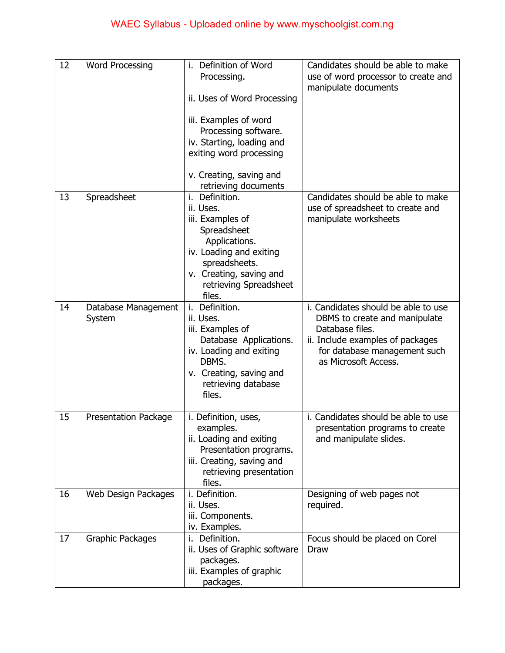| 12 | <b>Word Processing</b>        | i. Definition of Word<br>Processing.<br>ii. Uses of Word Processing<br>iii. Examples of word<br>Processing software.<br>iv. Starting, loading and<br>exiting word processing<br>v. Creating, saving and<br>retrieving documents | Candidates should be able to make<br>use of word processor to create and<br>manipulate documents                                                                                    |
|----|-------------------------------|---------------------------------------------------------------------------------------------------------------------------------------------------------------------------------------------------------------------------------|-------------------------------------------------------------------------------------------------------------------------------------------------------------------------------------|
| 13 | Spreadsheet                   | Definition.<br>i.<br>ii. Uses.<br>iii. Examples of<br>Spreadsheet<br>Applications.<br>iv. Loading and exiting<br>spreadsheets.<br>v. Creating, saving and<br>retrieving Spreadsheet<br>files.                                   | Candidates should be able to make<br>use of spreadsheet to create and<br>manipulate worksheets                                                                                      |
| 14 | Database Management<br>System | Definition.<br>i.<br>ii. Uses.<br>iii. Examples of<br>Database Applications.<br>iv. Loading and exiting<br>DBMS.<br>v. Creating, saving and<br>retrieving database<br>files.                                                    | i. Candidates should be able to use<br>DBMS to create and manipulate<br>Database files.<br>ii. Include examples of packages<br>for database management such<br>as Microsoft Access. |
| 15 | <b>Presentation Package</b>   | i. Definition, uses,<br>examples.<br>ii. Loading and exiting<br>Presentation programs.<br>iii. Creating, saving and<br>retrieving presentation<br>files.                                                                        | i. Candidates should be able to use<br>presentation programs to create<br>and manipulate slides.                                                                                    |
| 16 | Web Design Packages           | i. Definition.<br>ii. Uses.<br>iii. Components.<br>iv. Examples.                                                                                                                                                                | Designing of web pages not<br>required.                                                                                                                                             |
| 17 | Graphic Packages              | Definition.<br>i.<br>ii. Uses of Graphic software<br>packages.<br>iii. Examples of graphic<br>packages.                                                                                                                         | Focus should be placed on Corel<br><b>Draw</b>                                                                                                                                      |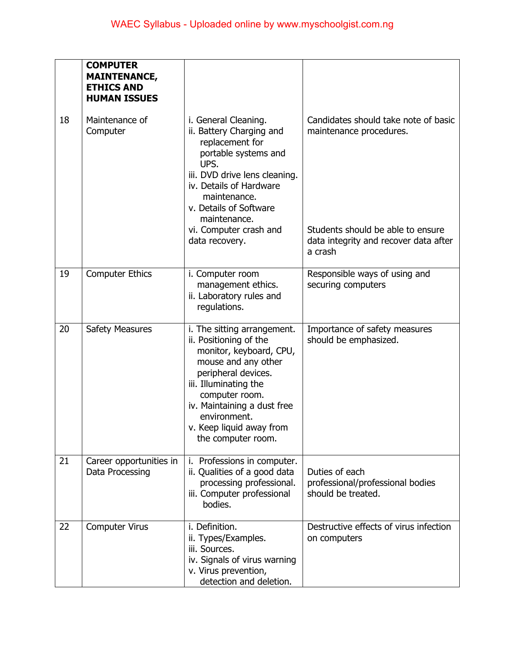|    | <b>COMPUTER</b><br><b>MAINTENANCE,</b><br><b>ETHICS AND</b><br><b>HUMAN ISSUES</b> |                                                                                                                                                                                                                                                                            |                                                                                       |
|----|------------------------------------------------------------------------------------|----------------------------------------------------------------------------------------------------------------------------------------------------------------------------------------------------------------------------------------------------------------------------|---------------------------------------------------------------------------------------|
| 18 | Maintenance of<br>Computer                                                         | i. General Cleaning.<br>ii. Battery Charging and<br>replacement for<br>portable systems and<br>UPS.<br>iii. DVD drive lens cleaning.<br>iv. Details of Hardware<br>maintenance.<br>v. Details of Software<br>maintenance.                                                  | Candidates should take note of basic<br>maintenance procedures.                       |
|    |                                                                                    | vi. Computer crash and<br>data recovery.                                                                                                                                                                                                                                   | Students should be able to ensure<br>data integrity and recover data after<br>a crash |
| 19 | <b>Computer Ethics</b>                                                             | i. Computer room<br>management ethics.<br>ii. Laboratory rules and<br>regulations.                                                                                                                                                                                         | Responsible ways of using and<br>securing computers                                   |
| 20 | <b>Safety Measures</b>                                                             | i. The sitting arrangement.<br>ii. Positioning of the<br>monitor, keyboard, CPU,<br>mouse and any other<br>peripheral devices.<br>iii. Illuminating the<br>computer room.<br>iv. Maintaining a dust free<br>environment.<br>v. Keep liquid away from<br>the computer room. | Importance of safety measures<br>should be emphasized.                                |
| 21 | Career opportunities in<br>Data Processing                                         | Professions in computer.<br>L.<br>ii. Qualities of a good data<br>processing professional.<br>iii. Computer professional<br>bodies.                                                                                                                                        | Duties of each<br>professional/professional bodies<br>should be treated.              |
| 22 | <b>Computer Virus</b>                                                              | i. Definition.<br>ii. Types/Examples.<br>iii. Sources.<br>iv. Signals of virus warning<br>v. Virus prevention,<br>detection and deletion.                                                                                                                                  | Destructive effects of virus infection<br>on computers                                |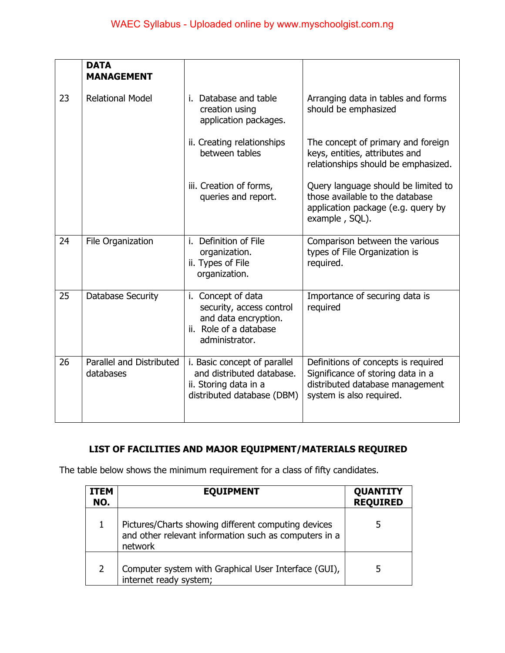|    | <b>DATA</b><br><b>MANAGEMENT</b>      |                                                                                                                    |                                                                                                                                         |
|----|---------------------------------------|--------------------------------------------------------------------------------------------------------------------|-----------------------------------------------------------------------------------------------------------------------------------------|
| 23 | <b>Relational Model</b>               | i. Database and table<br>creation using<br>application packages.                                                   | Arranging data in tables and forms<br>should be emphasized                                                                              |
|    |                                       | ii. Creating relationships<br>between tables                                                                       | The concept of primary and foreign<br>keys, entities, attributes and<br>relationships should be emphasized.                             |
|    |                                       | iii. Creation of forms,<br>queries and report.                                                                     | Query language should be limited to<br>those available to the database<br>application package (e.g. query by<br>example, SQL).          |
| 24 | File Organization                     | i. Definition of File<br>organization.<br>ii. Types of File<br>organization.                                       | Comparison between the various<br>types of File Organization is<br>required.                                                            |
| 25 | Database Security                     | i. Concept of data<br>security, access control<br>and data encryption.<br>ii. Role of a database<br>administrator. | Importance of securing data is<br>required                                                                                              |
| 26 | Parallel and Distributed<br>databases | i. Basic concept of parallel<br>and distributed database.<br>ii. Storing data in a<br>distributed database (DBM)   | Definitions of concepts is required<br>Significance of storing data in a<br>distributed database management<br>system is also required. |

## **LIST OF FACILITIES AND MAJOR EQUIPMENT/MATERIALS REQUIRED**

The table below shows the minimum requirement for a class of fifty candidates.

| ITEM<br>NO. | <b>EQUIPMENT</b>                                                                                                        | <b>QUANTITY</b><br><b>REQUIRED</b> |
|-------------|-------------------------------------------------------------------------------------------------------------------------|------------------------------------|
|             | Pictures/Charts showing different computing devices<br>and other relevant information such as computers in a<br>network |                                    |
|             | Computer system with Graphical User Interface (GUI),<br>internet ready system;                                          |                                    |